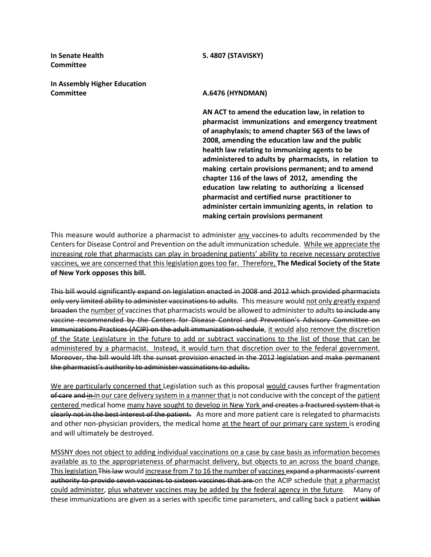**Committee** 

**In Assembly Higher Education Committee <b>A.6476** (HYNDMAN)

**In Senate Health S. 4807 (STAVISKY)**

**AN ACT to amend the education law, in relation to pharmacist immunizations and emergency treatment of anaphylaxis; to amend chapter 563 of the laws of 2008, amending the education law and the public health law relating to immunizing agents to be administered to adults by pharmacists, in relation to making certain provisions permanent; and to amend chapter 116 of the laws of 2012, amending the education law relating to authorizing a licensed pharmacist and certified nurse practitioner to administer certain immunizing agents, in relation to making certain provisions permanent**

This measure would authorize a pharmacist to administer any vaccines to adults recommended by the Centers for Disease Control and Prevention on the adult immunization schedule. While we appreciate the increasing role that pharmacists can play in broadening patients' ability to receive necessary protective vaccines, we are concerned that this legislation goes too far. Therefore, **The Medical Society of the State of New York opposes this bill.**

This bill would significantly expand on legislation enacted in 2008 and 2012 which provided pharmacists only very limited ability to administer vaccinations to adults. This measure would not only greatly expand broaden the number of vaccines that pharmacists would be allowed to administer to adults to include any vaccine recommended by the Centers for Disease Control and Prevention's Advisory Committee on Immunizations Practices (ACIP) on the adult immunization schedule, it would also remove the discretion of the State Legislature in the future to add or subtract vaccinations to the list of those that can be administered by a pharmacist. Instead, it would turn that discretion over to the federal government. Moreover, the bill would lift the sunset provision enacted in the 2012 legislation and make permanent the pharmacist's authority to administer vaccinations to adults.

We are particularly concerned that Legislation such as this proposal would causes further fragmentation of care and in in our care delivery system in a manner that is not conducive with the concept of the patient centered medical home many have sought to develop in New York and creates a fractured system that is clearly not in the best interest of the patient. As more and more patient care is relegated to pharmacists and other non-physician providers, the medical home at the heart of our primary care system is eroding and will ultimately be destroyed.

MSSNY does not object to adding individual vaccinations on a case by case basis as information becomes available as to the appropriateness of pharmacist delivery, but objects to an across the board change. This legislation This law would increase from 7 to 16 the number of vaccines expand a pharmacists' current authority to provide seven vaccines to sixteen vaccines that are on the ACIP schedule that a pharmacist could administer, plus whatever vaccines may be added by the federal agency in the future. Many of these immunizations are given as a series with specific time parameters, and calling back a patient within